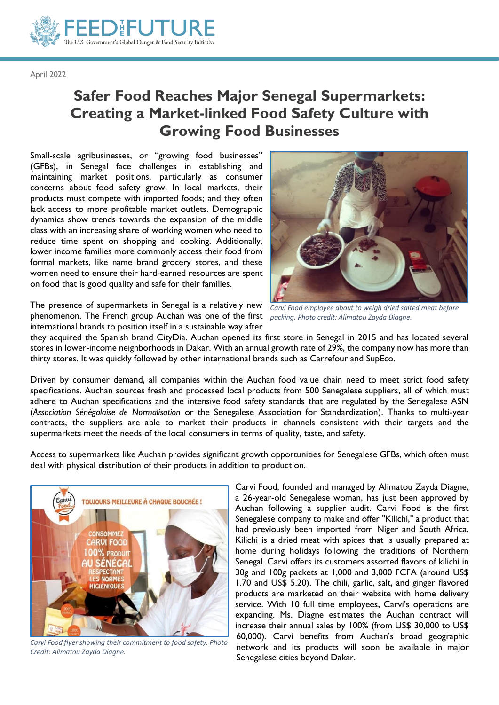

April 2022

## **Safer Food Reaches Major Senegal Supermarkets: Creating a Market-linked Food Safety Culture with Growing Food Businesses**

Small-scale agribusinesses, or "growing food businesses" (GFBs), in Senegal face challenges in establishing and maintaining market positions, particularly as consumer concerns about food safety grow. In local markets, their products must compete with imported foods; and they often lack access to more profitable market outlets. Demographic dynamics show trends towards the expansion of the middle class with an increasing share of working women who need to reduce time spent on shopping and cooking. Additionally, lower income families more commonly access their food from formal markets, like name brand grocery stores, and these women need to ensure their hard-earned resources are spent on food that is good quality and safe for their families.



The presence of supermarkets in Senegal is a relatively new *Carvi Food employee about to weigh dried salted meat before*  phenomenon. The French group Auchan was one of the first *packing. Photo credit: Alimatou Zayda Diagne.* international brands to position itself in a sustainable way after

they acquired the Spanish brand CityDia. Auchan opened its first store in Senegal in 2015 and has located several stores in lower-income neighborhoods in Dakar. With an annual growth rate of 29%, the company now has more than thirty stores. It was quickly followed by other international brands such as Carrefour and SupEco.

Driven by consumer demand, all companies within the Auchan food value chain need to meet strict food safety specifications. Auchan sources fresh and processed local products from 500 Senegalese suppliers, all of which must adhere to Auchan specifications and the intensive food safety standards that are regulated by the Senegalese ASN (*Association Sénégalaise de Normalisation* or the Senegalese Association for Standardization). Thanks to multi-year contracts, the suppliers are able to market their products in channels consistent with their targets and the supermarkets meet the needs of the local consumers in terms of quality, taste, and safety.

Access to supermarkets like Auchan provides significant growth opportunities for Senegalese GFBs, which often must deal with physical distribution of their products in addition to production.



*Carvi Food flyer showing their commitment to food safety. Photo Credit: Alimatou Zayda Diagne.*

Carvi Food, founded and managed by Alimatou Zayda Diagne, a 26-year-old Senegalese woman, has just been approved by Auchan following a supplier audit. Carvi Food is the first Senegalese company to make and offer "Kilichi," a product that had previously been imported from Niger and South Africa. Kilichi is a dried meat with spices that is usually prepared at home during holidays following the traditions of Northern Senegal. Carvi offers its customers assorted flavors of kilichi in 30g and 100g packets at 1,000 and 3,000 FCFA (around US\$ 1.70 and US\$ 5.20). The chili, garlic, salt, and ginger flavored products are marketed on their website with home delivery service. With 10 full time employees, Carvi's operations are expanding. Ms. Diagne estimates the Auchan contract will increase their annual sales by 100% (from US\$ 30,000 to US\$ 60,000). Carvi benefits from Auchan's broad geographic network and its products will soon be available in major Senegalese cities beyond Dakar.